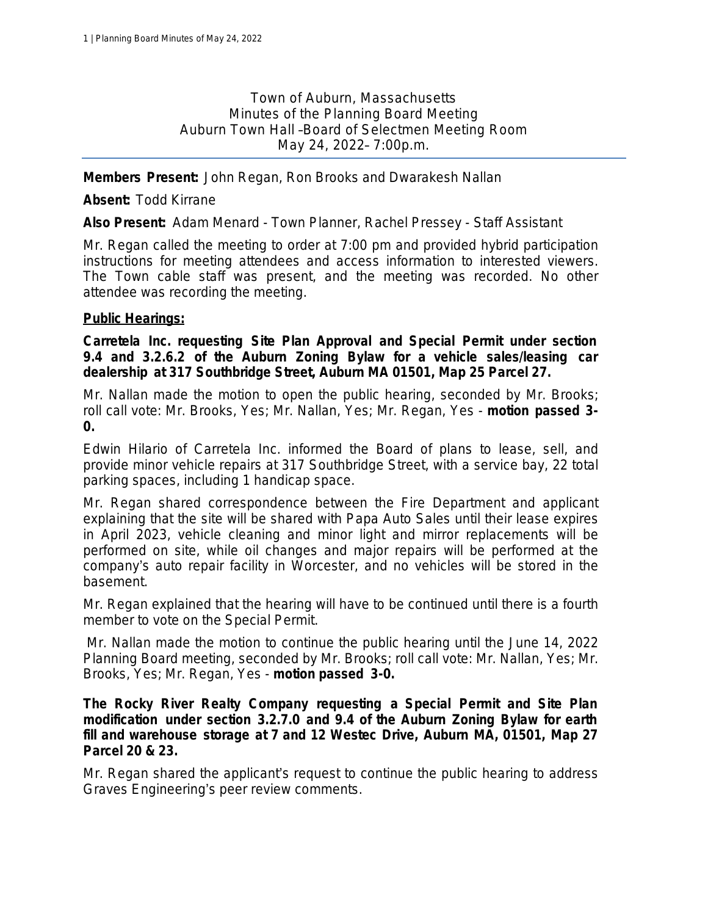Town of Auburn, Massachusetts Minutes of the Planning Board Meeting Auburn Town Hall –Board of Selectmen Meeting Room May 24, 2022– 7:00p.m.

**Members Present:** John Regan, Ron Brooks and Dwarakesh Nallan

**Absent:** Todd Kirrane

**Also Present:** Adam Menard - Town Planner, Rachel Pressey - Staff Assistant

Mr. Regan called the meeting to order at 7:00 pm and provided hybrid participation instructions for meeting attendees and access information to interested viewers. The Town cable staff was present, and the meeting was recorded. No other attendee was recording the meeting.

### **Public Hearings:**

**Carretela Inc. requesting Site Plan Approval and Special Permit under section 9.4 and 3.2.6.2 of the Auburn Zoning Bylaw for a vehicle sales/leasing car dealership at 317 Southbridge Street, Auburn MA 01501, Map 25 Parcel 27.**

Mr. Nallan made the motion to open the public hearing, seconded by Mr. Brooks; *roll call vote: Mr. Brooks, Yes; Mr. Nallan, Yes; Mr. Regan, Yes* - *motion passed 3- 0.*

Edwin Hilario of Carretela Inc. informed the Board of plans to lease, sell, and provide minor vehicle repairs at 317 Southbridge Street, with a service bay, 22 total parking spaces, including 1 handicap space.

Mr. Regan shared correspondence between the Fire Department and applicant explaining that the site will be shared with Papa Auto Sales until their lease expires in April 2023, vehicle cleaning and minor light and mirror replacements will be performed on site, while oil changes and major repairs will be performed at the company's auto repair facility in Worcester, and no vehicles will be stored in the basement.

Mr. Regan explained that the hearing will have to be continued until there is a fourth member to vote on the Special Permit.

Mr. Nallan made the motion to continue the public hearing until the June 14, 2022 Planning Board meeting, seconded by Mr. Brooks; *roll call vote: Mr. Nallan, Yes; Mr. Brooks, Yes; Mr. Regan, Yes* - *motion passed 3-0.*

**The Rocky River Realty Company requesting a Special Permit and Site Plan modification under section 3.2.7.0 and 9.4 of the Auburn Zoning Bylaw for earth fill and warehouse storage at 7 and 12 Westec Drive, Auburn MA, 01501, Map 27 Parcel 20 & 23.**

Mr. Regan shared the applicant's request to continue the public hearing to address Graves Engineering's peer review comments.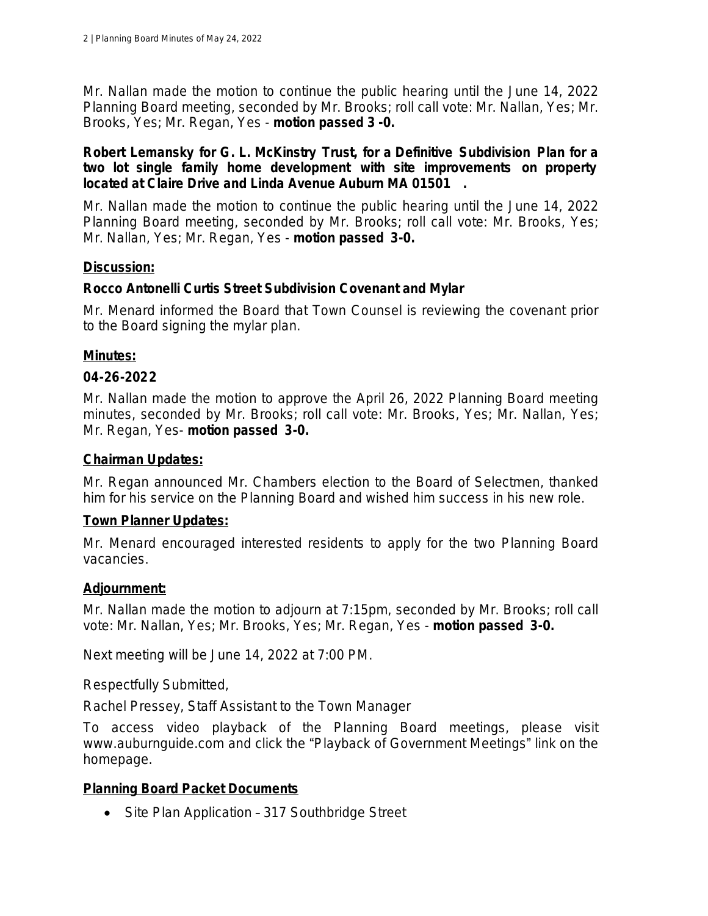Mr. Nallan made the motion to continue the public hearing until the June 14, 2022 Planning Board meeting, seconded by Mr. Brooks; *roll call vote: Mr. Nallan, Yes; Mr. Brooks, Yes; Mr. Regan, Yes* - *motion passed 3 -0.*

### **Robert Lemansky for G. L. McKinstry Trust, for a Definitive Subdivision Plan for a two lot single family home development with site improvements on property located at Claire Drive and Linda Avenue Auburn MA 01501 .**

Mr. Nallan made the motion to continue the public hearing until the June 14, 2022 Planning Board meeting, seconded by Mr. Brooks; *roll call vote: Mr. Brooks, Yes; Mr. Nallan, Yes; Mr. Regan, Yes* - *motion passed 3-0.*

# **Discussion:**

### **Rocco Antonelli Curtis Street Subdivision Covenant and Mylar**

Mr. Menard informed the Board that Town Counsel is reviewing the covenant prior to the Board signing the mylar plan.

### **Minutes:**

### **04-26-2022**

Mr. Nallan made the motion to approve the April 26, 2022 Planning Board meeting minutes, seconded by Mr. Brooks; *roll call vote: Mr. Brooks, Yes; Mr. Nallan, Yes; Mr. Regan, Yes*- *motion passed 3-0.*

#### **Chairman Updates:**

Mr. Regan announced Mr. Chambers election to the Board of Selectmen, thanked him for his service on the Planning Board and wished him success in his new role.

# **Town Planner Updates:**

Mr. Menard encouraged interested residents to apply for the two Planning Board vacancies.

#### **Adjournment:**

Mr. Nallan made the motion to adjourn at 7:15pm, seconded by Mr. Brooks; *roll call vote: Mr. Nallan, Yes; Mr. Brooks, Yes; Mr. Regan, Yes* - *motion passed 3-0.*

Next meeting will be June 14, 2022 at 7:00 PM.

Respectfully Submitted,

Rachel Pressey, Staff Assistant to the Town Manager

To access video playback of the Planning Board meetings, please visit www.auburnguide.com and click the "Playback of Government Meetings" link on the homepage.

# **Planning Board Packet Documents**

• Site Plan Application - 317 Southbridge Street